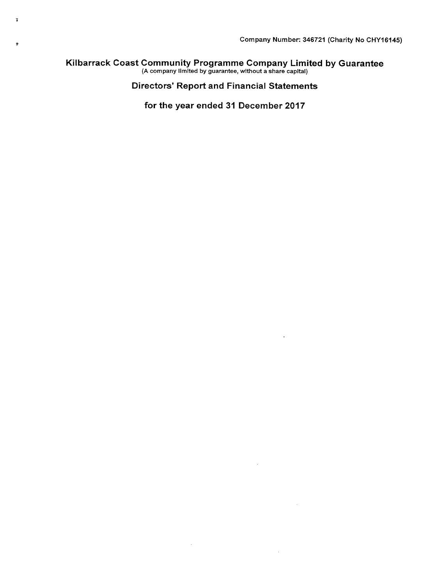$\mathcal{L}^{\pm}$ 

 $\Delta \sim 1$ 

 $\hat{\mathcal{A}}$ 

 $\sim 10^7$ 

## Kilbarrack Coast Community Programme Company Limited by Guarantee (A company limited by guarantee, without a share capital)

 $\overline{\mathbf{1}}$ 

 $\bullet$ 

Directors' Report and Financial Statements

for the year ended 31 December 2017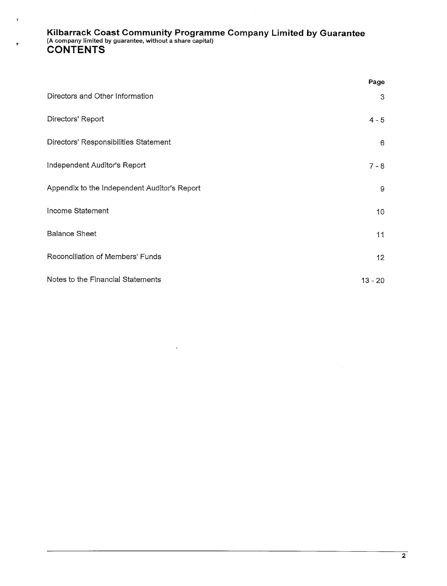$\ddot{\bullet}$ 

 $\bullet$ 

|                                              | Page             |
|----------------------------------------------|------------------|
| Directors and Other Information              | 3                |
| Directors' Report                            | $4 - 5$          |
| Directors' Responsibilities Statement        | 6                |
| Independent Auditor's Report                 | $7 - 8$          |
| Appendix to the Independent Auditor's Report | 9                |
| Income Statement                             | 10               |
| <b>Balance Sheet</b>                         | 11               |
| Reconciliation of Members' Funds             | 12 <sub>12</sub> |
| Notes to the Financial Statements            | $13 - 20$        |

 $\ddot{\phantom{0}}$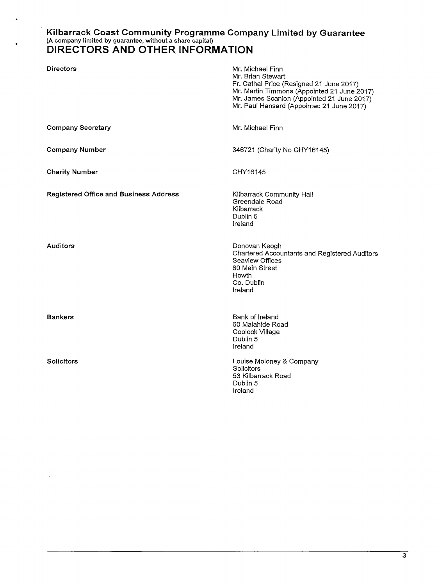## **Kilbarrack Coast Community Programme Company Limited by Guarantee (A company limited by guarantee, without a share capital) DIRECTORS AND OTHER INFORMATION**

| Directors                                     | Mr. Michael Finn<br>Mr. Brian Stewart<br>Fr. Cathal Price (Resigned 21 June 2017)<br>Mr. Martin Timmons (Appointed 21 June 2017)<br>Mr. James Scanlon (Appointed 21 June 2017)<br>Mr. Paul Hansard (Appointed 21 June 2017) |
|-----------------------------------------------|-----------------------------------------------------------------------------------------------------------------------------------------------------------------------------------------------------------------------------|
| <b>Company Secretary</b>                      | Mr. Michael Finn                                                                                                                                                                                                            |
| <b>Company Number</b>                         | 346721 (Charity No CHY16145)                                                                                                                                                                                                |
| <b>Charity Number</b>                         | CHY16145                                                                                                                                                                                                                    |
| <b>Registered Office and Business Address</b> | Kilbarrack Community Hall<br>Greendale Road<br>Kilbarrack<br>Dublin 5<br>Ireland                                                                                                                                            |
| Auditors                                      | Donovan Keogh<br>Chartered Accountants and Registered Auditors<br>Seaview Offices<br>60 Main Street<br>Howth<br>Co. Dublin<br>Ireland                                                                                       |
| <b>Bankers</b>                                | Bank of Ireland<br>60 Malahide Road<br>Coolock Village<br>Dublin 5<br>Ireland                                                                                                                                               |
| Solicitors                                    | Louise Moloney & Company<br>Solicitors<br>53 Kilbarrack Road<br>Dublin 5<br>Ireland                                                                                                                                         |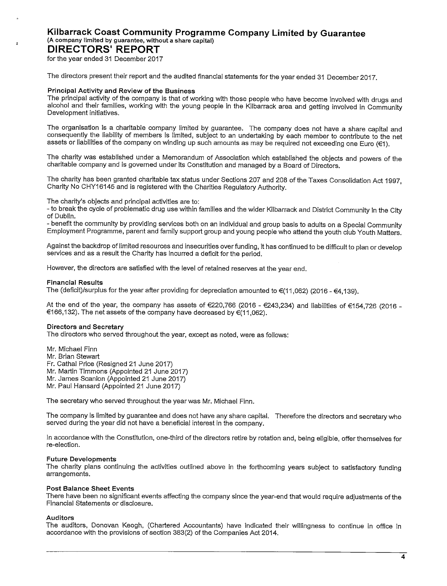# **DIRECTORS' REPORT**

for the year ended 31 December 2017

The directors present their report and the audited financial statements for the year ended 31 December 2017.

#### **Principal Activity and Review of the Business**

The principal activity of the company is that of working with those people who have become involved with drugs and alcohol and their families, working with the young people in the Kilbarrack area and getting involved in Community Development initiatives.

The organisation is a charitable company limited by guarantee. The company does not have a share capital and consequently the liability of members is limited, subject to an undertaking by each member to contribute to the net assets or liabilities of the company on winding up such amounts as may be required not exceeding one Euro (€1).

The charity was established under a Memorandum of Association which established the objects and powers of the charitable company and is governed under its Constitution and managed by a Board of Directors.

The charity has been granted charitable tax status under Sections 207 and 208 of the Taxes Consolidation Act 1997, Charity No CHY16145 and is registered with the Charities Regulatory Authority.

The charity's objects and principal activities are to:

- to break the cycle of problematic drug use within families and the wider Kilbarrack and District Community in the City of Dublin.

- benefit the community by providing services both on an individual and group basis to adults on a Special Community Employment Programme, parent and family support group and young people who attend the youth club Youth Matters.

Against the backdrop of limited resources and insecurities over funding, it has continued to be difficult to plan or develop services and as a result the Charity has incurred a deficit for the period.

However, the directors are satisfied with the level of retained reserves at the year end.

#### **Financial Results**

The (deficit)/surplus for the year after providing for depreciation amounted to  $\epsilon$ (11,062) (2016 -  $\epsilon$ 4,139).

At the end of the year, the company has assets of €220,766 (2016 - €243,234) and liabilities of €154,726 (2016 - €166,132). The net assets of the company have decreased by €(11,062).

#### **Directors and Secretary**

The directors who served throughout the year, except as noted, were as follows:

Mr. Michael Finn Mr. Brian Stewart Fr. Cathal Price (Resigned 21 June 2017) Mr. Martin Timmons (Appointed 21 June 2017) Mr. James Scanlon (Appointed 21 June 2017) Mr. Paul Hansard (Appointed 21 June 2017)

The secretary who served throughout the year was Mr. Michael Finn.

The company is limited by guarantee and does not have any share capital. Therefore the directors and secretary who served during the year did not have a beneficial interest in the company.

In accordance with the Constitution, one-third of the directors retire by rotation and, being eligible, offer themselves for re-election.

#### **Future Developments**

The charity plans continuing the activities outlined above in the forthcoming years subject to satisfactory funding arrangements.

#### **Post Balance Sheet Events**

There have been no significant events affecting the company since the year-end that would require adjustments of the Financial Statements or disclosure.

#### **Auditors**

The auditors, Donovan Keogh, (Chartered Accountants) have indicated their willingness to continue in office in accordance with the provisions of section 383(2) of the Companies Act 2014.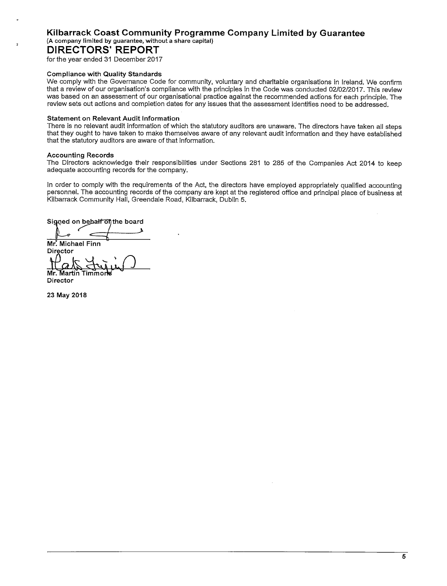# **Kilbarrack Coast Community Programme Company Limited by Guarantee**

**(A company limited by guarantee, without a share capital)**

# **DIRECTORS' REPORT**

for the year ended 31 December 2017

#### **Compliance with Quality Standards**

We comply with the Governance Code for community, voluntary and charitable organisations in Ireland. We confirm that a review of our organisation's compliance with the principles in the Code was conducted 02/02/2017. This review was based on an assessment of our organisational practice against the recommended actions for each principle. The review sets out actions and completion dates for any issues that the assessment identifies need to be addressed.

#### **Statement on Relevant Audit Information**

There is no relevant audit information of which the statutory auditors are unaware. The directors have taken all steps that they ought to have taken to make themselves aware of any relevant audit information and they have established that the statutory auditors are aware of that information.

#### **Accounting Records**

The Directors acknowledge their responsibilities under Sections 281 to 285 of the Companies Act 2014 to keep adequate accounting records for the company.

In order to comply with the requirements of the Act, the directors have employed appropriately qualified accounting personnel. The accounting records of the company are kept at the registered office and principal place of business at Kilbarrack Community Hall, Greendale Road, Kilbarrack, Dublin 5.

Signed on behalf on the board

**Mr. Michael Finn Director Mr.** Marti **Director**  $\bigcup_{k=1}^{\infty}$ 

**23 May 2018**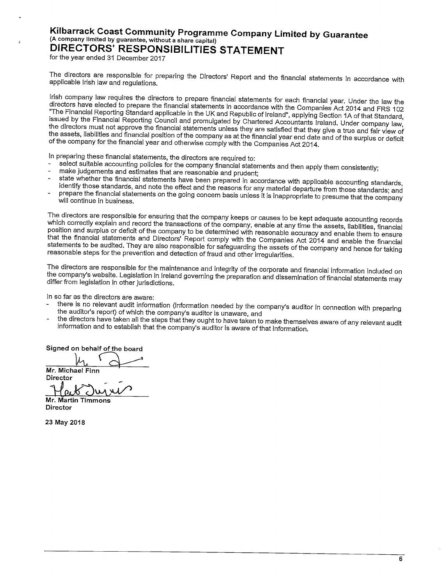# **Kilbarrack Coast Community Programme Company Limited by Guarantee (A company limited by guarantee, without a share capital) DIRECTORS' RESPONSIBILITIES STATEMENT**

for the year ended 31 December 2017

 $\overline{z}$ 

The directors are responsible for preparing the Directors' Report and the financial statements in accordance with applicable Irish law and regulations.

Irish company law requires the directors to prepare financial statements for each financial year. Under the law the directors have elected to prepare the financial statements in accordance with the Companies Act 2014 and FRS 102 "The Financial Reporting Standard applicable in the UK and Republic of Ireland", applying Section 1A of that Standard, issued by the Financial Reporting Council and promulgated by Chartered Accountants Ireland. Under company law, the directors must not approve the financial statements unless they are satisfied that they give a true and fair view of the assets, liabilities and financial position of the company as at the financial year end date and of the surplus or deficit of the company for the financial year and otherwise comply with the Companies Act 2014.

In preparing these financial statements, the directors are required to:

- select suitable accounting policies for the company financial statements and then apply them consistently;
- make judgements and estimates that are reasonable and prudent;
- state whether the financial statements have been prepared in accordance with applicable accounting standards, identify those standards, and note the effect and the reasons for any material departure from those standards; and
- prepare the financial statements on the going concern basis unless it is inappropriate to presume that the company will continue in business.

The directors are responsible for ensuring that the company keeps or causes to be kept adequate accounting records which correctly explain and record the transactions of the company, enable at any time the assets, liabilities, financial position and surplus or deficit of the company to be determined with reasonable accuracy and enable them to ensure that the financial statements and Directors' Report comply with the Companies Act 2014 and enable the financial statements to be audited. They are also responsible for safeguarding the assets of the company and hence for taking reasonable steps for the prevention and detection of fraud and other irregularities.

The directors are responsible for the maintenance and integrity of the corporate and financial information included on the company's website. Legislation in Ireland governing the preparation and dissemination of financial statements may differ from legislation in other jurisdictions.

In so far as the directors are aware:

- there is no relevant audit information (information needed by the company's auditor in connection with preparing the auditor's report) of which the company's auditor is unaware, and
- the directors have taken all the steps that they ought to have taken to make themselves aware of any relevant audit information and to establish that the company's auditor is aware of that information.

**Signed on behalf of the board**

**Mr. Michael Finn Director**

**Mr, Martin Timmons**

**Director**

**23 May 201 8**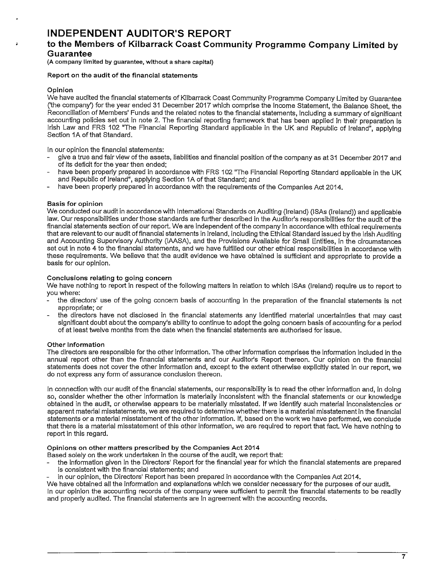# **INDEPENDENT AUDITOR'S REPORT**

## **to the Members of Kilbarrack Coast Community Programme Company Limited by Guarantee**

**(A company limited by guarantee, without a share capital)**

### **Report on the audit of the financial statements**

### **Opinion**

We have audited the financial statements of Kilbarrack Coast Community Programme Company Limited by Guarantee ('the company') for the year ended 31 December 2017 which comprise the Income Statement, the Balance Sheet, the Reconciliation of Members' Funds and the related notes to the financial statements, including a summary of significant accounting policies set out in note 2. The financial reporting framework that has been applied in their preparation is Irish Law and FRS 102 "The Financial Reporting Standard applicable in the UK and Republic of Ireland", applying Section 1A of that Standard.

In our opinion the financial statements:

- give a true and fair view of the assets, liabilities and financial position of the company as at 31 December 2017 and of its deficit for the year then ended;
- have been properly prepared in accordance with FRS 102 "The Financial Reporting Standard applicable in the UK and Republic of Ireland", applying Section 1A of that Standard; and
- have been properly prepared in accordance with the requirements of the Companies Act 2014.

#### **Basis for opinion**

We conducted our audit in accordance with International Standards on Auditing (Ireland) (ISAs (Ireland)) and applicable law. Our responsibilities under those standards are further described in the Auditor's responsibilities for the audit of the financial statements section of our report. We are independent of the company in accordance with ethical requirements that are relevant to our audit of financial statements in Ireland, including the Ethical Standard issued by the Irish Auditing and Accounting Supervisory Authority (IAASA), and the Provisions Available for Small Entities, in the circumstances set out in note 4 to the financial statements, and we have fulfilled our other ethical responsibilities in accordance with these requirements. We believe that the audit evidence we have obtained is sufficient and appropriate to provide a basis for our opinion.

#### **Conclusions relating to going concern**

We have nothing to report in respect of the following matters in relation to which ISAs (Ireland) require us to report to you where:

- the directors' use of the going concern basis of accounting in the preparation of the financial statements is not appropriate; or
- the directors have not disclosed in the financial statements any identified material uncertainties that may cast significant doubt about the company's ability to continue to adopt the going concern basis of accounting for a period of at least twelve months from the date when the financial statements are authorised for issue.

#### **Other Information**

The directors are responsible for the other information. The other information comprises the information included in the annual report other than the financial statements and our Auditor's Report thereon. Our opinion on the financial statements does not cover the other information and, except to the extent otherwise explicitly stated in our report, we do not express any form of assurance conclusion thereon.

In connection with our audit of the financial statements, our responsibility is to read the other information and, in doing so, consider whether the other information is materially inconsistent with the financial statements or our knowledge obtained in the audit, or otherwise appears to be materially misstated. If we identify such material inconsistencies or apparent material misstatements, we are required to determine whether there is a material misstatement in the financial statements or a material misstatement of the other information. If, based on the work we have performed, we conclude that there is a material misstatement of this other information, we are required to report that fact. We have nothing to report in this regard.

#### **Opinions on other matters prescribed by the Companies Act 2014**

Based solely on the work undertaken in the course of the audit, we report that:

- the information given in the Directors' Report for the financial year for which the financial statements are prepared is consistent with the financial statements; and
- in our opinion, the Directors' Report has been prepared in accordance with the Companies Act 2014.

We have obtained all the information and explanations which we consider necessary for the purposes of our audit. In our opinion the accounting records of the company were sufficient to permit the financial statements to be readily and properly audited. The financial statements are in agreement with the accounting records.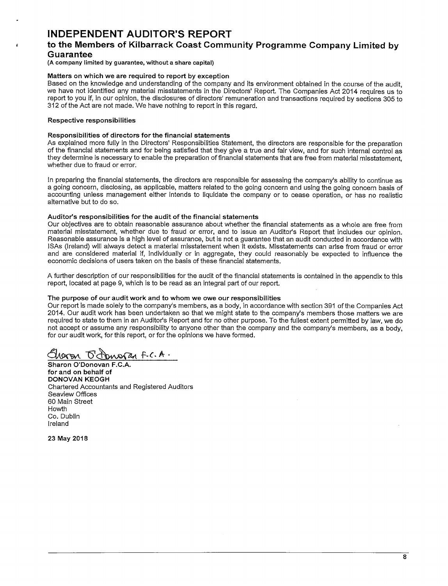# **INDEPENDENT AUDITOR'S REPORT**

## **to the Members of Kilbarrack Coast Community Programme Company Limited by Guarantee**

**(A company limited by guarantee, without a share capital)**

#### **Matters on which we are required to report by exception**

Based on the knowledge and understanding of the company and its environment obtained in the course of the audit, we have not identified any material misstatements in the Directors' Report. The Companies Act 2014 requires us to report to you if, in our opinion, the disclosures of directors' remuneration and transactions required by sections 305 to 312 of the Act are not made. We have nothing to report in this regard.

### **Respective responsibilities**

#### **Responsibilities of directors for the financial statements**

As explained more fully in the Directors' Responsibilities Statement, the directors are responsible for the preparation of the financial statements and for being satisfied that they give a true and fair view, and for such internal control as they determine is necessary to enable the preparation of financial statements that are free from material misstatement, whether due to fraud or error.

In preparing the financial statements, the directors are responsible for assessing the company's ability to continue as a going concern, disclosing, as applicable, matters related to the going concern and using the going concern basis of accounting unless management either intends to liquidate the company or to cease operation, or has no realistic alternative but to do so.

### **Auditor's responsibilities for the audit of the financial statements**

Our objectives are to obtain reasonable assurance about whether the financial statements as a whole are free from material misstatement, whether due to fraud or error, and to issue an Auditor's Report that includes our opinion. Reasonable assurance is a high level of assurance, but is not a guarantee that an audit conducted in accordance with ISAs (Ireland) will always detect a material misstatement when it exists. Misstatements can arise from fraud or error and are considered material if, individually or in aggregate, they could reasonably be expected to influence the economic decisions of users taken on the basis of these financial statements.

A further description of our responsibilities for the audit of the financial statements is contained in the appendix to this report, located at page 9, which is to be read as an integral part of our report.

## **The purpose of our audit work and to whom we owe our responsibilities**

Our report is made solely to the company's members, as a body, in accordance with section 391 of the Companies Act 2014. Our audit work has been undertaken so that we might state to the company's members those matters we are required to state to them in an Auditor's Report and for no other purpose. To the fullest extent permitted by law, we do not accept or assume any responsibility to anyone other than the company and the company's members, as a body, for our audit work, for this report, or for the opinions we have formed.

Graren O'Denestan F.C.A.

**Sharon O'Donovan F.C.A. for and on behalf of DONOVAN KEOGH** Chartered Accountants and Registered Auditors Seaview Offices 60 Main Street Howth Co. Dublin Ireland

**23 May 20 18**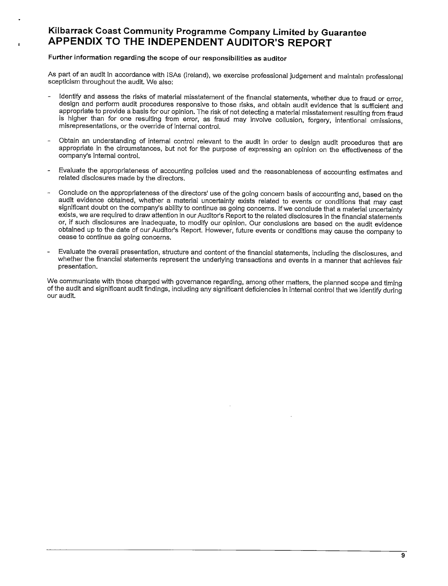# **Kilbarrack Coast Community Programme Company Limited by Guarantee APPENDIX TO THE INDEPENDENT AUDITOR'S REPORT**

# **Further information regarding the scope of our responsibilities as auditor**

As part of an audit in accordance with ISAs (Ireland), we exercise professional judgement and maintain professional scepticism throughout the audit. We also:

- Identify and assess the risks of material misstatement of the financial statements, whether due to fraud or error, design and perform audit procedures responsive to those risks, and obtain audit evidence that is sufficient and appropriate to provide a basis for our opinion. The risk of not detecting a material misstatement resulting from fraud is higher than for one resulting from error, as fraud may involve collusion, forgery, intentional omissions, misrepresentations, or the override of internal control.
- Obtain an understanding of internal control relevant to the audit in order to design audit procedures that are appropriate in the circumstances, but not for the purpose of expressing an opinion on the effectiveness of the company's internal control.
- Evaluate the appropriateness of accounting policies used and the reasonableness of accounting estimates and related disclosures made by the directors.
- Conclude on the appropriateness of the directors' use of the going concern basis of accounting and, based on the audit evidence obtained, whether a material uncertainty exists related to events or conditions that may cast significant doubt on the company's ability to continue as going concerns. If we conclude that a material uncertainty exists, we are required to draw attention in our Auditor's Report to the related disclosures in the financial statements or, if such disclosures are inadequate, to modify our opinion. Our conclusions are based on the audit evidence obtained up to the date of our Auditor's Report. However, future events or conditions may cause the company to cease to continue as going concerns.
- Evaluate the overall presentation, structure and content of the financial statements, including the disclosures, and whether the financial statements represent the underlying transactions and events in a manner that achieves fair presentation.

We communicate with those charged with governance regarding, among other matters, the planned scope and timing of the audit and significant audit findings, including any significant deficiencies in internal control that we identify during our audit.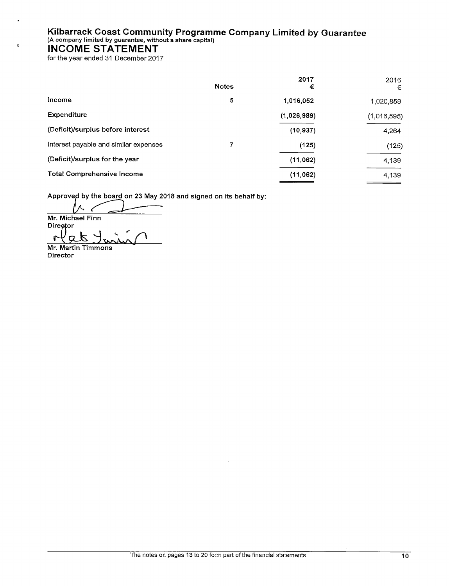# INCOME STATEMENT

 $\hat{\mathbf{x}}$ 

for the year ended 31 December 2017

|                                       | <b>Notes</b> | 2017<br>€   | 2016<br>€   |
|---------------------------------------|--------------|-------------|-------------|
| Income                                | 5            | 1,016,052   | 1,020,859   |
| Expenditure                           |              | (1,026,989) | (1,016,595) |
| (Deficit)/surplus before interest     |              | (10, 937)   | 4.264       |
| Interest payable and similar expenses | 7            | (125)       | (125)       |
| (Deficit)/surplus for the year        |              | (11,062)    | 4,139       |
| <b>Total Comprehensive Income</b>     |              | (11,062)    | 4,139       |
|                                       |              |             |             |

Approved by the board on 23 May 2018 and signed on its behalf by:

**Mr. Michael Finn Direotor**

Mr. Martin Timmons

Director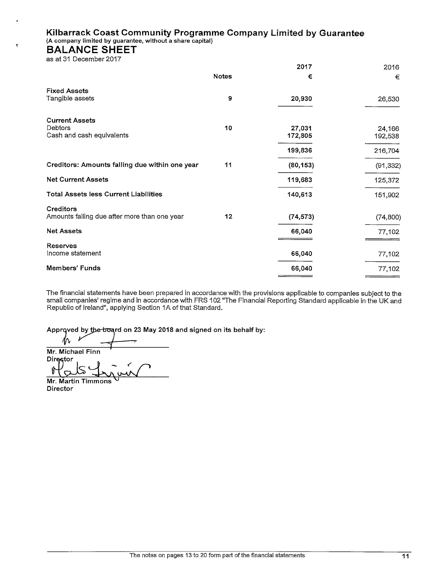# **Kilbarrack Coast Community Programme Company Limited by Guarantee**

**(A company limited by guarantee, without a share capital)**

## **BALANCE SHEET**

as at 31 December 2017

|                                                               |              | 2017              | 2016              |
|---------------------------------------------------------------|--------------|-------------------|-------------------|
|                                                               | <b>Notes</b> | €                 | €                 |
| <b>Fixed Assets</b><br>Tangible assets                        | 9            | 20,930            | 26,530            |
| <b>Current Assets</b><br>Debtors<br>Cash and cash equivalents | 10           | 27,031<br>172,805 | 24,166<br>192,538 |
|                                                               |              | 199,836           | 216,704           |
| Creditors: Amounts falling due within one year                | 11           | (80, 153)         | (91, 332)         |
| <b>Net Current Assets</b>                                     |              | 119,683           | 125,372           |
| <b>Total Assets less Current Liabilities</b>                  |              | 140,613           | 151,902           |
| Creditors<br>Amounts falling due after more than one year     | 12           | (74, 573)         | (74, 800)         |
| <b>Net Assets</b>                                             |              | 66,040            | 77,102            |
| <b>Reserves</b><br>Income statement                           |              | 66,040            | 77,102            |
| <b>Members' Funds</b>                                         |              | 66,040            | 77,102            |

The financial statements have been prepared in accordance with the provisions applicable to companies subject to the small companies' regime and in accordance with FRS 102 "The Financial Reporting Standard applicable in the UK and Republic of Ireland", applying Section 1A of that Standard.

Approved by the-board on 23 May 2018 and signed on its behalf by:

∕∿ **Mr, Michael Finn Director** ₿

**Mr. Martin Timmons Director**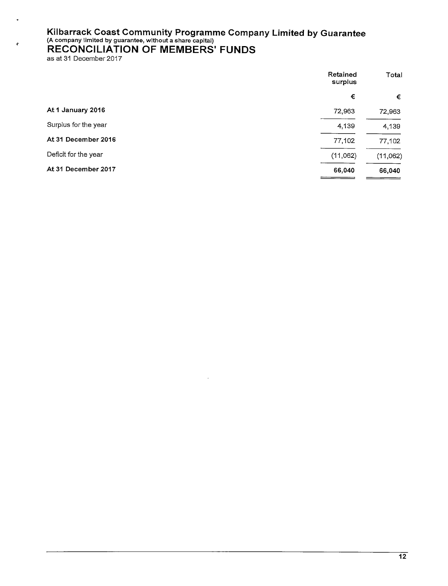## **Kilbarrack Coast Community Programme Company Limited by Guarantee (A company limited by guarantee, without a share capital) RECONCILIATION OF MEMBERS' FUNDS**

as at 31 December 2017

 $\epsilon$ 

|                      | Retained<br>surplus | Total    |  |
|----------------------|---------------------|----------|--|
|                      | €                   | €        |  |
| At 1 January 2016    | 72,963              | 72,963   |  |
| Surplus for the year | 4,139               | 4,139    |  |
| At 31 December 2016  | 77,102              | 77,102   |  |
| Deficit for the year | (11,062)            | (11,062) |  |
| At 31 December 2017  | 66,040              | 66,040   |  |
|                      |                     |          |  |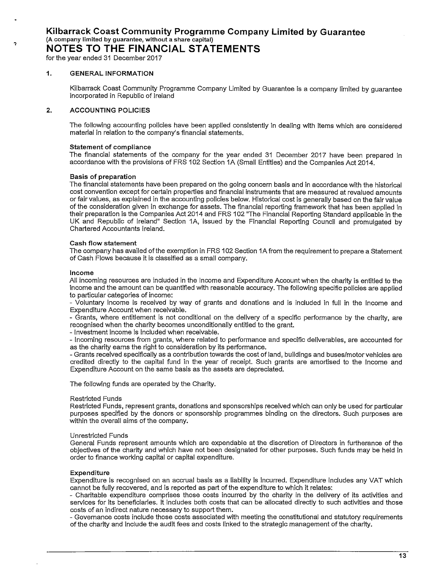**(A company limited by guarantee, without a share capital)**

**NOTES TO THE FINANCIAL STATEMENTS**

for the year ended 31 December 2017

### **1. GENERAL INFORMATION**

Kilbarrack Coast Community Programme Company Limited by Guarantee is a company limited by guarantee incorporated in Republic of Ireland

## **2. ACCOUNTING POLICIES**

The following accounting policies have been applied consistently in dealing with items which are considered material in relation to the company's financial statements.

#### **Statement of compliance**

The financial statements of the company for the year ended 31 December 2017 have been prepared in accordance with the provisions of FRS 102 Section 1A (Small Entities) and the Companies Act 2014.

#### **Basis of preparation**

The financial statements have been prepared on the going concern basis and in accordance with the historical cost convention except for certain properties and financial instruments that are measured at revalued amounts or fair values, as explained in the accounting policies below. Historical cost is generally based on the fair value of the consideration given in exchange for assets. The financial reporting framework that has been applied in their preparation is the Companies Act 2014 and FRS 102 "The Financial Reporting Standard applicable in the UK and Republic of Ireland" Section 1A, issued by the Financial Reporting Council and promulgated by Chartered Accountants Ireland.

#### **Cash flow statement**

The company has availed of the exemption in FRS 102 Section 1 Afrom the requirement to prepare a Statement of Cash Flows because it is classified as a small company.

#### **Income**

All incoming resources are included in the Income and Expenditure Account when the charity is entitled to the income and the amount can be quantified with reasonable accuracy. The following specific policies are applied to particular categories of income:

- Voluntary income is received by way of grants and donations and is included in full in the Income and Expenditure Account when receivable.

- Grants, where entitlement is not conditional on the delivery of a specific performance by the charity, are recognised when the charity becomes unconditionally entitled to the grant.

- Investment income is included when receivable.

- Incoming resources from grants, where related to performance and specific deliverables, are accounted for as the charity earns the right to consideration by its performance.

- Grants received specifically as a contribution towards the cost of land, buildings and buses/motor vehicles are credited directly to the capital fund in the year of receipt. Such grants are amortised to the Income and Expenditure Account on the same basis as the assets are depreciated.

The following funds are operated by the Charity.

#### Restricted Funds

Restricted Funds, represent grants, donations and sponsorships received which can only be used for particular purposes specified by the donors or sponsorship programmes binding on the directors. Such purposes are within the overall aims of the company.

#### Unrestricted Funds

General Funds represent amounts which are expendable at the discretion of Directors in furtherance of the objectives of the charity and which have not been designated for other purposes. Such funds may be held in order to finance working capital or capital expenditure.

#### **Expenditure**

Expenditure is recognised on an accrual basis as a liability is incurred. Expenditure includes any VAT which cannot be fully recovered, and is reported as part of the expenditure to which it relates:

- Charitable expenditure comprises those costs incurred by the charity in the delivery of its activities and services for its beneficiaries. It includes both costs that can be allocated directly to such activities and those costs of an indirect nature necessary to support them.

- Governance costs include those costs associated with meeting the constitutional and statutory requirements of the charity and include the audit fees and costs linked to the strategic management of the charity.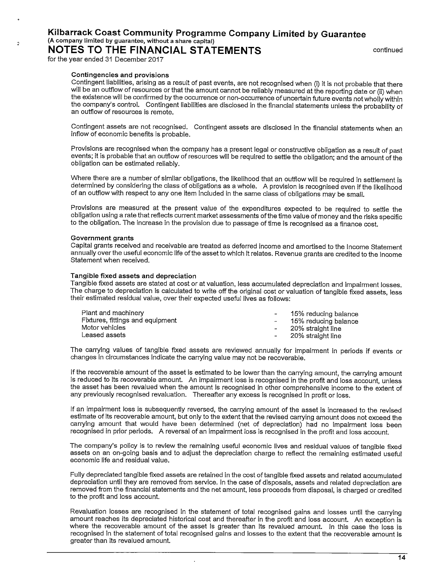# **NOTES TO THE FINANCIAL STATEMENTS CONTINUED COntinued**

for the year ended 31 December 2017

#### **Contingencies and provisions**

Contingent liabilities, arising as a result of past events, are not recognised when (i) it is not probable that there will be an outflow of resources or that the amount cannot be reliably measured at the reporting date or (ii) when the existence will be confirmed by the occurrence or non-occurrence of uncertain future events not wholly within the company's control. Contingent liabilities are disclosed in the financial statements unless the probability of an outflow of resources is remote.

Contingent assets are not recognised. Contingent assets are disclosed in the financial statements when an inflow of economic benefits is probable.

Provisions are recognised when the company has a present legal or constructive obligation as a result of past events; it is probable that an outflow of resources will be required to settle the obligation; and the amount of the obligation can be estimated reliably.

Where there are a number of similar obligations, the likelihood that an outflow will be required in settlement is determined by considering the class of obligations as a whole. A provision is recognised even if the likelihood of an outflow with respect to any one item included in the same class of obligations may be small.

Provisions are measured at the present value of the expenditures expected to be required to settle the obligation using a rate that reflects current market assessments of the time value of money and the risks specific to the obligation. The increase in the provision due to passage of time is recognised as a finance cost.

#### **Government grants**

Capital grants received and receivable are treated as deferred income and amortised to the Income Statement annually overthe useful economic life of the asset to which it relates. Revenue grants are credited to the Income Statement when received.

#### **Tangible fixed assets and depreciation**

Tangible fixed assets are stated at cost or at valuation, less accumulated depreciation and impairment losses. The charge to depreciation is calculated to write off the original cost or valuation of tangible fixed assets, less their estimated residual value, over their expected useful lives as follows:

| Plant and machinery              | 15% reducing balance |
|----------------------------------|----------------------|
| Fixtures, fittings and equipment | 15% reducing balance |
| Motor vehicles                   | 20% straight line    |
| Leased assets                    | 20% straight line    |

The carrying values of tangible fixed assets are reviewed annually for impairment in periods if events or changes in circumstances indicate the carrying value may not be recoverable.

If the recoverable amount of the asset is estimated to be lower than the carrying amount, the carrying amount is reduced to its recoverable amount. An impairment loss is recognised in the profit and loss account, unless the asset has been revalued when the amount is recognised in other comprehensive income to the extent of any previously recognised revaluation. Thereafter any excess is recognised in profit or loss.

If an impairment loss is subsequently reversed, the carrying amount of the asset is increased to the revised estimate of its recoverable amount, but only to the extent that the revised carrying amount does not exceed the carrying amount that would have been determined (net of depreciation) had no impairment loss been recognised in prior periods. A reversal of an impairment loss is recognised in the profit and loss account.

The company's policy is to review the remaining useful economic lives and residual values of tangible fixed assets on an on-going basis and to adjust the depreciation charge to reflect the remaining estimated useful economic life and residual value.

Fully depreciated tangible fixed assets are retained in the cost of tangible fixed assets and related accumulated depreciation until they are removed from service. In the case of disposals, assets and related depreciation are removed from the financial statements and the net amount, less proceeds from disposal, is charged or credited to the profit and loss account.

Revaluation losses are recognised in the statement of total recognised gains and losses until the carrying amount reaches its depreciated historical cost and thereafter in the profit and loss account. An exception is where the recoverable amount of the asset is greater than its revalued amount. In this case the loss is recognised in the statement of total recognised gains and losses to the extent that the recoverable amount is greater than its revalued amount.

l,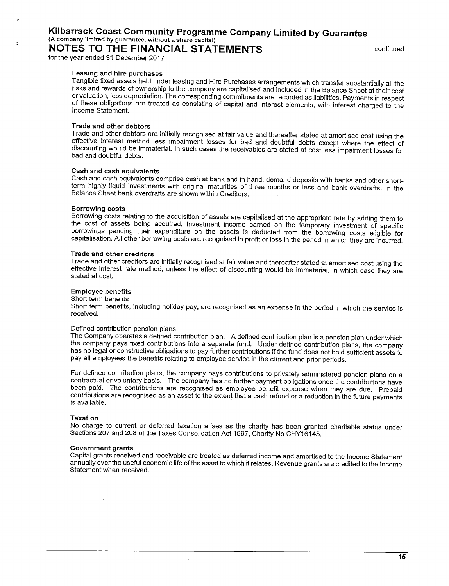# **NOTES TO THE FINANCIAL STATEMENTS** continued

for the year ended 31 December 2017

### **Leasing and hire purchases**

Tangible fixed assets held under leasing and Hire Purchases arrangements which transfer substantially all the risks and rewards of ownership to the company are capitalised and included in the Balance Sheet at their cost or valuation, less depreciation. The corresponding commitments are recorded as liabilities. Payments in respect of these obligations are treated as consisting of capital and interest elements, with interest charged to the Income Statement.

### **Trade and other debtors**

Trade and other debtors are initially recognised at fair value and thereafter stated at amortised cost using the effective interest method less impairment losses for bad and doubtful debts except where the effect of discounting would be immaterial. In such cases the receivables are stated at cost less impairment losses for bad and doubtful debts.

## **Cash and cash equivalents**

Cash and cash equivalents comprise cash at bank and in hand, demand deposits with banks and other shortterm highly liquid investments with original maturities of three months or less and bank overdrafts. In the Balance Sheet bank overdrafts are shown within Creditors.

#### **Borrowing costs**

Borrowing costs relating to the acquisition of assets are capitalised at the appropriate rate by adding them to the cost of assets being acquired. Investment income earned on the temporary investment of specific borrowings pending their expenditure on the assets is deducted from the borrowing costs eligible for capitalisation. All other borrowing costs are recognised in profit or loss in the period in which they are incurred.

#### **Trade and other creditors**

Trade and other creditors are initially recognised at fair value and thereafter stated at amortised cost using the effective interest rate method, unless the effect of discounting would be immaterial, in which case they are stated at cost.

#### **Employee benefits**

#### Short term benefits

Short term benefits, including holiday pay, are recognised as an expense in the period in which the service is received.

#### Defined contribution pension plans

The Company operates a defined contribution plan. A defined contribution plan is a pension plan under which the company pays fixed contributions into a separate fund. Under defined contribution plans, the company has no legal or constructive obligations to pay further contributions if the fund does not hold sufficient assets to pay all employees the benefits relating to employee service in the current and prior periods.

For defined contribution plans, the company pays contributions to privately administered pension plans on a contractual or voluntary basis. The company has no further payment obligations once the contributions have been paid. The contributions are recognised as employee benefit expense when they are due. Prepaid contributions are recognised as an asset to the extent that a cash refund or a reduction in the future payments is available.

#### **Taxation**

No charge to current or deferred taxation arises as the charity has been granted charitable status under Sections 207 and 208 of the Taxes Consolidation Act 1997, Charity No CHY16145.

#### **Government grants**

Capital grants received and receivable are treated as deferred income and amortised to the Income Statement annually over the useful economic life of the asset to which it relates. Revenue grants are credited to the Income Statement when received.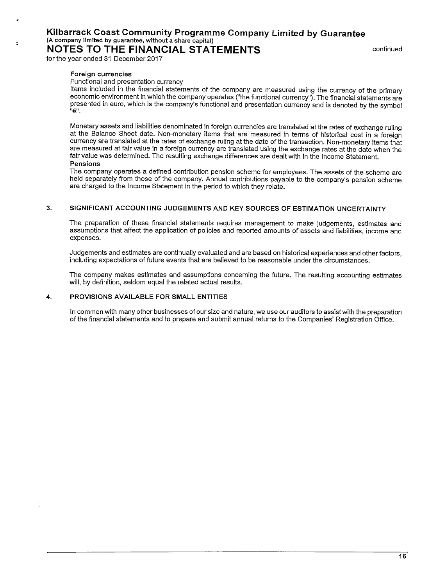# **NOTES TO THE FINANCIAL STATEMENTS** and the continued

for the year ended 31 December 2017

## **Foreign currencies**

Functional and presentation currency

Items included in the financial statements of the company are measured using the currency of the primary economic environment in which the company operates ("the functional currency"). The financial statements are presented in euro, which is the company's functional and presentation currency and is denoted by the symbol "€'.

Monetary assets and liabilities denominated in foreign currencies are translated at the rates of exchange ruling at the Balance Sheet date. Non-monetary items that are measured in terms of historical cost in a foreign currency are translated at the rates of exchange ruling at the date of the transaction. Non-monetary items that are measured at fair value in a foreign currency are translated using the exchange rates at the date when the fair value was determined. The resulting exchange differences are dealt with in the Income Statement. **Pensions**

The company operates a defined contribution pension scheme for employees. The assets of the scheme are held separately from those of the company. Annual contributions payable to the company's pension scheme are charged to the Income Statement in the period to which they relate.

## **3. SIGNIFICANT ACCOUNTING JUDGEMENTS AND KEY SOURCES OF ESTIMATION UNCERTAINTY**

The preparation of these financial statements requires management to make judgements, estimates and assumptions that affect the application of policies and reported amounts of assets and liabilities, income and expenses.

Judgements and estimates are continually evaluated and are based on historical experiences and otherfactors, including expectations of future events that are believed to be reasonable under the circumstances.

The company makes estimates and assumptions concerning the future. The resulting accounting estimates will, by definition, seldom equal the related actual results.

#### **4. PROVISIONS AVAILABLE FOR SMALL ENTITIES**

In common with many other businesses of our size and nature, we use our auditors to assist with the preparation of the financial statements and to prepare and submit annual returns to the Companies' Registration Office.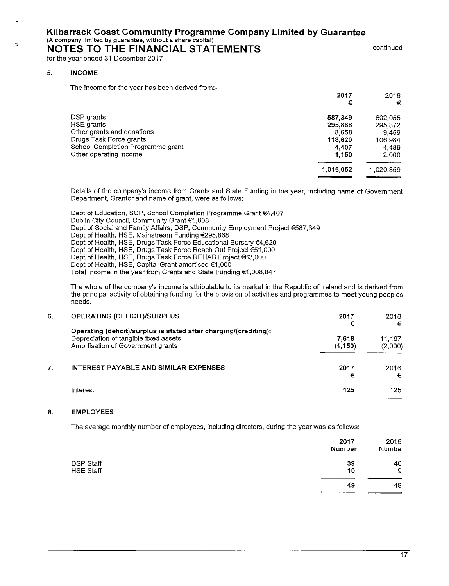**NOTES TO THE FINANCIAL STATEMENTS** and the continued

for the year ended 31 December 2017

### **5. INCOME**

 $\overline{a}$ 

The income for the year has been derived from:-

|                                   | 2017      | 2016      |
|-----------------------------------|-----------|-----------|
|                                   | €         | €         |
| DSP grants                        | 587,349   | 602,055   |
| HSE grants                        | 295,868   | 295,872   |
| Other grants and donations        | 8.658     | 9.459     |
| Drugs Task Force grants           | 118,620   | 106,984   |
| School Completion Programme grant | 4,407     | 4,489     |
| Other operating income            | 1,150     | 2,000     |
|                                   | 1,016,052 | 1,020,859 |

Details of the company's income from Grants and State Funding in the year, including name of Government Department, Grantor and name of grant, were as follows:

Dept of Education, SCP, School Completion Programme Grant €4,407 Dublin City Council, Community Grant €1,603 Dept of Social and Family Affairs, DSP, Community Employment Project €587,349 Dept of Health, HSE, Mainstream Funding €295,868 Dept of Health, HSE, Drugs Task Force Educational Bursary €4,620 Dept of Health, HSE, Drugs Task Force Reach Out Project €51,000 Dept of Health, HSE, Drugs Task Force REHAB Project €63,000 Dept of Health, HSE, Capital Grant amortised €1,000 Total Income in the year from Grants and State Funding €1,008,847

The whole of the company's income is attributable to its market in the Republic of Ireland and is derived from the principal activity of obtaining funding for the provision of activities and programmes to meet young peoples needs.

| 6. | <b>OPERATING (DEFICIT)/SURPLUS</b>                                                                                                              | 2017<br>€         | 2016<br>€         |
|----|-------------------------------------------------------------------------------------------------------------------------------------------------|-------------------|-------------------|
|    | Operating (deficit)/surplus is stated after charging/(crediting):<br>Depreciation of tangible fixed assets<br>Amortisation of Government grants | 7,618<br>(1, 150) | 11.197<br>(2,000) |
| 7. | INTEREST PAYABLE AND SIMILAR EXPENSES                                                                                                           | 2017<br>€         | 2016<br>€         |
|    | Interest                                                                                                                                        | 125               | 125               |

#### **8, EMPLOYEES**

The average monthly number of employees, including directors, during the year was as follows:

|                               | 2017<br>Number | 2016<br>Number |
|-------------------------------|----------------|----------------|
| DSP Staff<br><b>HSE Staff</b> | 39<br>10       | 40<br>9        |
|                               | 49             | 49             |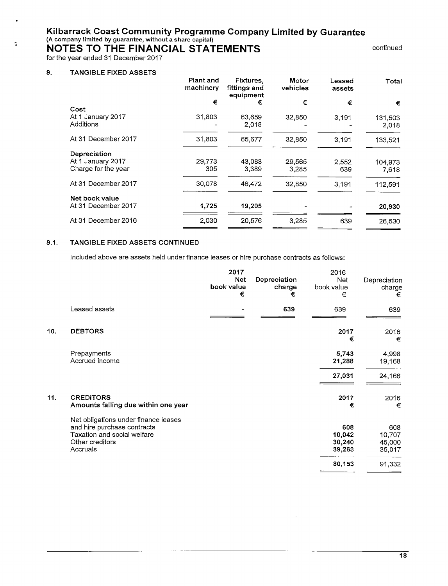# **Kilbarrack Coast Community Programme Company Limited by Guarantee**

**(A company limited by guarantee, without a share capital) NOTES TO THE FINANCIAL STATEMENTS**

continued

for the year ended 31 December 2017

 $\hat{\mathbb{C}}$ 

## **9. TANGIBLE FIXED ASSETS**

|                     | Plant and<br>machinery | Fixtures,<br>fittings and<br>equipment | Motor<br>vehicles | Leased<br>assets | Total   |
|---------------------|------------------------|----------------------------------------|-------------------|------------------|---------|
|                     | €                      | €                                      | €                 | €                | €       |
| Cost                |                        |                                        |                   |                  |         |
| At 1 January 2017   | 31,803                 | 63.659                                 | 32,850            | 3,191            | 131,503 |
| Additions           |                        | 2,018                                  |                   |                  | 2,018   |
| At 31 December 2017 | 31,803                 | 65,677                                 | 32,850            | 3,191            | 133,521 |
| Depreciation        |                        |                                        |                   |                  |         |
| At 1 January 2017   | 29,773                 | 43,083                                 | 29,565            | 2,552            | 104,973 |
| Charge for the year | 305                    | 3.389                                  | 3.285             | 639              | 7.618   |
| At 31 December 2017 | 30,078                 | 46,472                                 | 32,850            | 3,191            | 112,591 |
| Net book value      |                        |                                        |                   |                  |         |
| At 31 December 2017 | 1,725                  | 19,205                                 |                   |                  | 20,930  |
| At 31 December 2016 | 2,030                  | 20,576                                 | 3.285             | 639              | 26,530  |

## **9.1. TANGIBLE FIXED ASSETS CONTINUED**

Included above are assets held under finance leases or hire purchase contracts as follows:

|     |                                                                                                                                   | 2017<br>Net<br>book value<br>€ | Depreciation<br>charge<br>€ | 2016<br>Net<br>book value<br>€    | Depreciation<br>charge<br>€       |
|-----|-----------------------------------------------------------------------------------------------------------------------------------|--------------------------------|-----------------------------|-----------------------------------|-----------------------------------|
|     | Leased assets                                                                                                                     |                                | 639                         | 639                               | 639                               |
| 10. | <b>DEBTORS</b>                                                                                                                    |                                |                             | 2017<br>€                         | 2016<br>€                         |
|     | Prepayments<br>Accrued income                                                                                                     |                                |                             | 5,743<br>21,288                   | 4,998<br>19,168                   |
|     |                                                                                                                                   |                                |                             | 27,031                            | 24,166                            |
| 11. | <b>CREDITORS</b><br>Amounts falling due within one year                                                                           |                                |                             | 2017<br>€                         | 2016<br>€                         |
|     | Net obligations under finance leases<br>and hire purchase contracts<br>Taxation and social welfare<br>Other creditors<br>Accruals |                                |                             | 608<br>10,042<br>30,240<br>39,263 | 608<br>10,707<br>45,000<br>35,017 |
|     |                                                                                                                                   |                                |                             | 80,153                            | 91,332                            |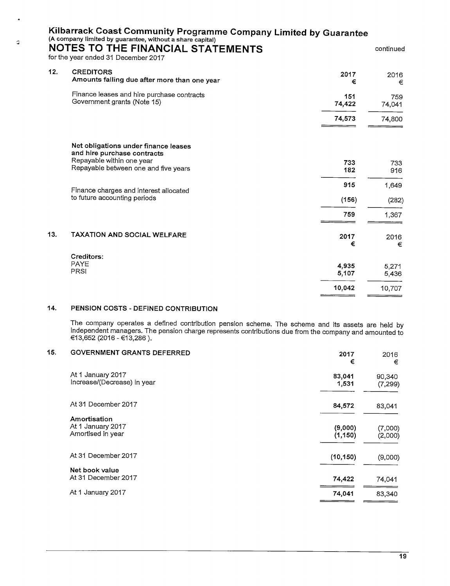|     | Kilbarrack Coast Community Programme Company Limited by Guarantee<br>(A company limited by guarantee, without a share capital)<br>NOTES TO THE FINANCIAL STATEMENTS<br>for the year ended 31 December 2017 |               | continued     |
|-----|------------------------------------------------------------------------------------------------------------------------------------------------------------------------------------------------------------|---------------|---------------|
| 12. | <b>CREDITORS</b><br>Amounts falling due after more than one year                                                                                                                                           | 2017<br>€     | 2016<br>€     |
|     | Finance leases and hire purchase contracts<br>Government grants (Note 15)                                                                                                                                  | 151<br>74,422 | 759<br>74,041 |
|     |                                                                                                                                                                                                            | 74,573        | 74,800        |
|     | Net obligations under finance leases<br>and hire purchase contracts                                                                                                                                        |               |               |
|     | Repayable within one year<br>Repayable between one and five years                                                                                                                                          | 733<br>182    | 733<br>916    |
|     | Finance charges and interest allocated                                                                                                                                                                     | 915           | 1.649         |
|     | to future accounting periods                                                                                                                                                                               | (156)         | (282)         |
|     |                                                                                                                                                                                                            | 759           | 1,367         |
| 13. | <b>TAXATION AND SOCIAL WELFARE</b>                                                                                                                                                                         | 2017<br>€     | 2016<br>€     |
|     | Creditors:<br><b>PAYE</b><br>PRSI                                                                                                                                                                          | 4,935         | 5,271         |
|     |                                                                                                                                                                                                            | 5,107         | 5,436         |
|     |                                                                                                                                                                                                            | 10,042        | 10,707        |

## **14. PENSION COSTS - DEFINED CONTRIBUTION**

 $\hat{z}$ 

The company operates a defined contribution pension scheme. The scheme and its assets are held by independent managers. The pension charge represents contributions due from the company and amounted to €13,652 (2016-€13,286).

| 15. | <b>GOVERNMENT GRANTS DEFERRED</b>                      | 2017<br>€           | 2016<br>€          |
|-----|--------------------------------------------------------|---------------------|--------------------|
|     | At 1 January 2017<br>Increase/(Decrease) in year       | 83,041<br>1,531     | 90,340<br>(7, 299) |
|     | At 31 December 2017                                    | 84,572              | 83,041             |
|     | Amortisation<br>At 1 January 2017<br>Amortised in year | (9,000)<br>(1, 150) | (7,000)<br>(2,000) |
|     | At 31 December 2017                                    | (10, 150)           | (9,000)            |
|     | Net book value<br>At 31 December 2017                  | 74,422              | 74,041             |
|     | At 1 January 2017                                      | 74,041              | 83,340             |
|     |                                                        |                     |                    |

**19**